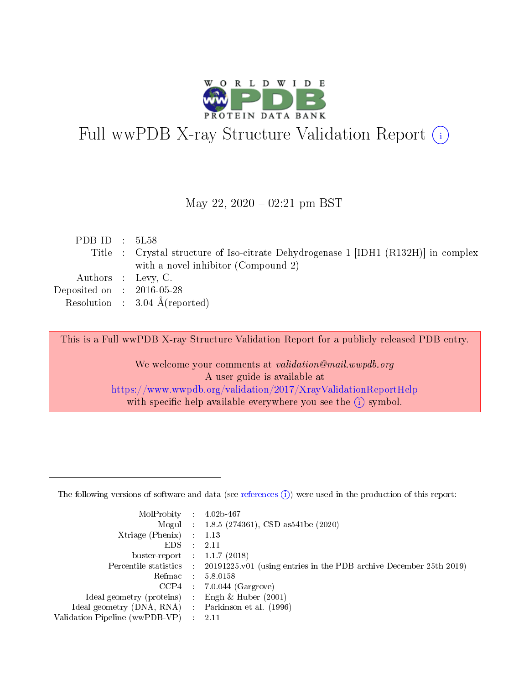

# Full wwPDB X-ray Structure Validation Report (i)

### May 22,  $2020 - 02:21$  pm BST

| PDB ID : $5L58$             |                                                                                    |
|-----------------------------|------------------------------------------------------------------------------------|
|                             | Title : Crystal structure of Iso-citrate Dehydrogenase 1 [IDH1 (R132H)] in complex |
|                             | with a novel inhibitor (Compound 2)                                                |
|                             | Authors : Levy, C.                                                                 |
| Deposited on : $2016-05-28$ |                                                                                    |
|                             | Resolution : $3.04 \text{ Å}$ (reported)                                           |
|                             |                                                                                    |

This is a Full wwPDB X-ray Structure Validation Report for a publicly released PDB entry.

We welcome your comments at validation@mail.wwpdb.org A user guide is available at <https://www.wwpdb.org/validation/2017/XrayValidationReportHelp> with specific help available everywhere you see the  $(i)$  symbol.

The following versions of software and data (see [references](https://www.wwpdb.org/validation/2017/XrayValidationReportHelp#references)  $(1)$ ) were used in the production of this report:

| MolProbity                     | $\mathcal{L}_{\rm{max}}$ | $4.02b - 467$                                                                |
|--------------------------------|--------------------------|------------------------------------------------------------------------------|
|                                |                          | Mogul : $1.8.5$ (274361), CSD as 541be (2020)                                |
| $X$ triage (Phenix) :          |                          | 1.13                                                                         |
| EDS.                           |                          | 2.11                                                                         |
| buster-report : $1.1.7$ (2018) |                          |                                                                              |
| Percentile statistics :        |                          | $20191225 \text{ v}01$ (using entries in the PDB archive December 25th 2019) |
| Refmac                         |                          | 5.8.0158                                                                     |
| $CCP4$ :                       |                          | $7.0.044$ (Gargrove)                                                         |
| Ideal geometry (proteins) :    |                          | Engh $\&$ Huber (2001)                                                       |
| Ideal geometry (DNA, RNA) :    |                          | Parkinson et al. (1996)                                                      |
| Validation Pipeline (wwPDB-VP) | $\mathcal{L}$            | -2.11                                                                        |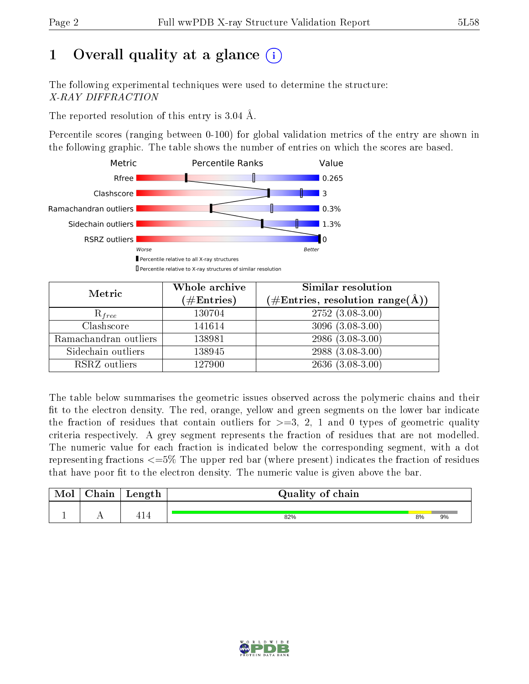# 1 [O](https://www.wwpdb.org/validation/2017/XrayValidationReportHelp#overall_quality)verall quality at a glance  $(i)$

The following experimental techniques were used to determine the structure: X-RAY DIFFRACTION

The reported resolution of this entry is 3.04 Å.

Percentile scores (ranging between 0-100) for global validation metrics of the entry are shown in the following graphic. The table shows the number of entries on which the scores are based.



| Metric                | Whole archive<br>$(\#\text{Entries})$ | Similar resolution<br>(#Entries, resolution range( $\AA$ )) |
|-----------------------|---------------------------------------|-------------------------------------------------------------|
| $R_{free}$            | 130704                                | $2752(3.08-3.00)$                                           |
| Clashscore            | 141614                                | $3096(3.08-3.00)$                                           |
| Ramachandran outliers | 138981                                | $2986(3.08-3.00)$                                           |
| Sidechain outliers    | 138945                                | 2988 (3.08-3.00)                                            |
| RSRZ outliers         | 127900                                | $2636(3.08-3.00)$                                           |

The table below summarises the geometric issues observed across the polymeric chains and their fit to the electron density. The red, orange, yellow and green segments on the lower bar indicate the fraction of residues that contain outliers for  $>=3, 2, 1$  and 0 types of geometric quality criteria respectively. A grey segment represents the fraction of residues that are not modelled. The numeric value for each fraction is indicated below the corresponding segment, with a dot representing fractions  $\epsilon=5\%$  The upper red bar (where present) indicates the fraction of residues that have poor fit to the electron density. The numeric value is given above the bar.

| Mol | $\cap$ hain | Length | Quality of chain |    |    |
|-----|-------------|--------|------------------|----|----|
|     |             | -1     | 82%              | 8% | 9% |

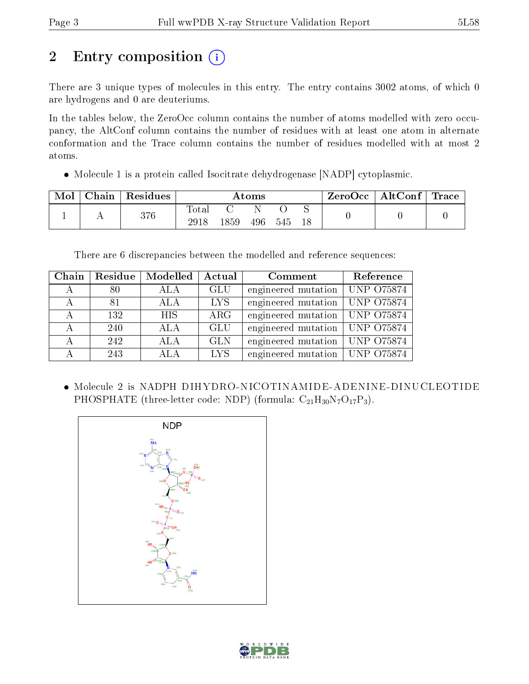# 2 Entry composition (i)

There are 3 unique types of molecules in this entry. The entry contains 3002 atoms, of which 0 are hydrogens and 0 are deuteriums.

In the tables below, the ZeroOcc column contains the number of atoms modelled with zero occupancy, the AltConf column contains the number of residues with at least one atom in alternate conformation and the Trace column contains the number of residues modelled with at most 2 atoms.

• Molecule 1 is a protein called Isocitrate dehydrogenase [NADP] cytoplasmic.

| Mol | $\perp$ Chain $\perp$ | Residues | Atoms               |      |     |     | ZeroOcc∣ | $\mid$ AltConf $\mid$ Trace |  |  |
|-----|-----------------------|----------|---------------------|------|-----|-----|----------|-----------------------------|--|--|
|     |                       | 376      | $\rm Total$<br>2918 | 1859 | 496 | 545 |          |                             |  |  |

There are 6 discrepancies between the modelled and reference sequences:

| Chain        | Residue | Modelled         | Actual     | Comment                                | Reference |
|--------------|---------|------------------|------------|----------------------------------------|-----------|
| $\mathsf{A}$ | 80      | ALA              | <b>GLU</b> | engineered mutation   UNP 075874       |           |
| А            | 81      | ALA              | LYS.       | engineered mutation $\vert$ UNP O75874 |           |
|              | 132     | <b>HIS</b>       | $\rm{ARG}$ | engineered mutation   UNP 075874       |           |
|              | 240     | <b>ALA</b>       | <b>GLU</b> | engineered mutation   UNP 075874       |           |
| А            | 242     | <b>ALA</b>       | <b>GLN</b> | engineered mutation   UNP 075874       |           |
|              | 243     | A <sub>L</sub> A | LYS.       | engineered mutation   UNP 075874       |           |

 Molecule 2 is NADPH DIHYDRO-NICOTINAMIDE-ADENINE-DINUCLEOTIDE PHOSPHATE (three-letter code: NDP) (formula:  $C_{21}H_{30}N_7O_{17}P_3$ ).



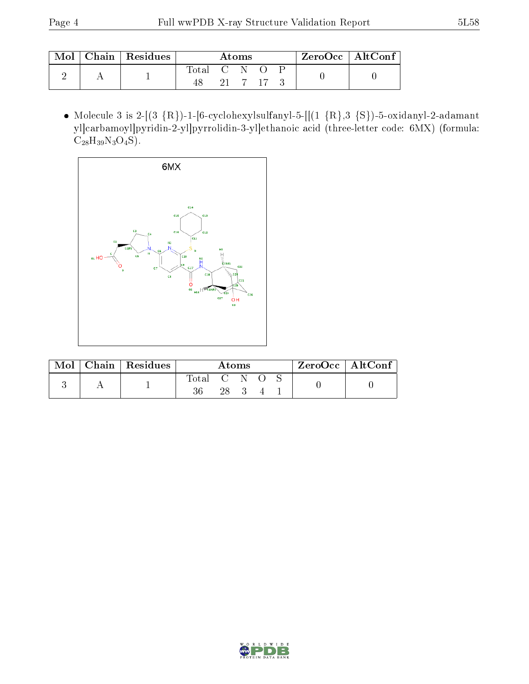| Mol | Chain   Residues | Atoms       |  |  | $ZeroOcc \mid AltConf \mid$ |  |  |
|-----|------------------|-------------|--|--|-----------------------------|--|--|
|     |                  | Total C N O |  |  | 21 7 17 3                   |  |  |

 $\bullet$  Molecule 3 is 2-[(3 {R})-1-[6-cyclohexylsulfanyl-5-[[(1 {R},3 {S})-5-oxidanyl-2-adamant yl]carbamoyl]pyridin-2-yl]pyrrolidin-3-yl]ethanoic acid (three-letter code: 6MX) (formula:  $C_{28}H_{39}N_3O_4S$ .



| Mol | Chain   Residues | Atoms       |  |  | $ZeroOcc \   \ AltConf$ |  |  |  |
|-----|------------------|-------------|--|--|-------------------------|--|--|--|
|     |                  | Total<br>36 |  |  |                         |  |  |  |

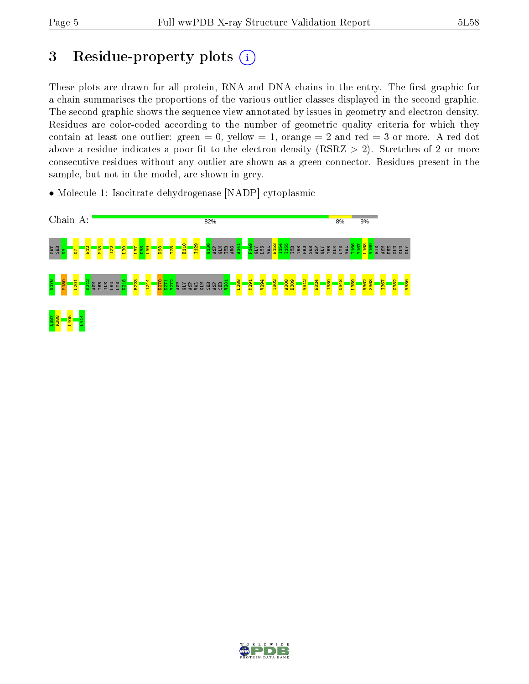# 3 Residue-property plots  $(i)$

These plots are drawn for all protein, RNA and DNA chains in the entry. The first graphic for a chain summarises the proportions of the various outlier classes displayed in the second graphic. The second graphic shows the sequence view annotated by issues in geometry and electron density. Residues are color-coded according to the number of geometric quality criteria for which they contain at least one outlier: green  $= 0$ , yellow  $= 1$ , orange  $= 2$  and red  $= 3$  or more. A red dot above a residue indicates a poor fit to the electron density (RSRZ  $> 2$ ). Stretches of 2 or more consecutive residues without any outlier are shown as a green connector. Residues present in the sample, but not in the model, are shown in grey.

• Molecule 1: Isocitrate dehydrogenase [NADP] cytoplasmic



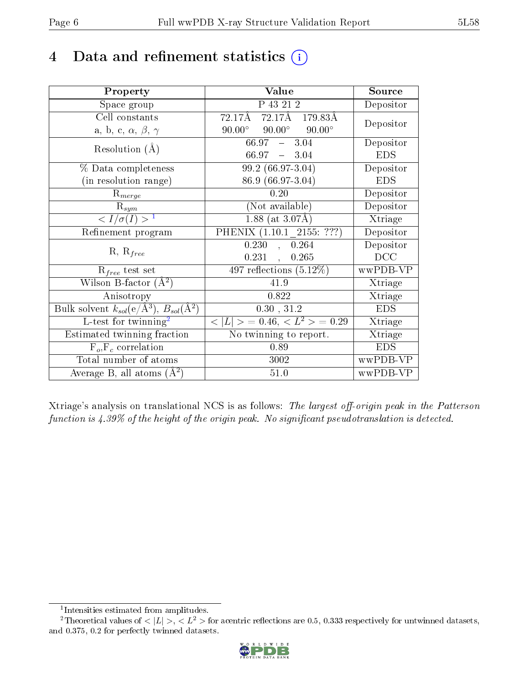# 4 Data and refinement statistics  $(i)$

| Property                                                         | Value                                                  | Source     |
|------------------------------------------------------------------|--------------------------------------------------------|------------|
| Space group                                                      | P 43 21 2                                              | Depositor  |
| Cell constants                                                   | $72.17\text{\AA}$ $72.17\text{\AA}$ $179.83\text{\AA}$ | Depositor  |
| a, b, c, $\alpha$ , $\beta$ , $\gamma$                           | $90.00^{\circ}$ $90.00^{\circ}$<br>$90.00^\circ$       |            |
| Resolution $(A)$                                                 | $66.97 - 3.04$                                         | Depositor  |
|                                                                  | $66.97 - 3.04$                                         | <b>EDS</b> |
| % Data completeness                                              | 99.2 (66.97-3.04)                                      | Depositor  |
| (in resolution range)                                            | 86.9 (66.97-3.04)                                      | <b>EDS</b> |
| $R_{merge}$                                                      | 0.20                                                   | Depositor  |
| $\mathrm{R}_{sym}$                                               | (Not available)                                        | Depositor  |
| $\sqrt{I/\sigma(I)} > 1$                                         | $1.88$ (at 3.07Å)                                      | Xtriage    |
| Refinement program                                               | PHENIX (1.10.1 2155: ???)                              | Depositor  |
|                                                                  | 0.230<br>0.264                                         | Depositor  |
| $R, R_{free}$                                                    | $0.231$ ,<br>0.265                                     | DCC        |
| $R_{free}$ test set                                              | 497 reflections $(5.12\%)$                             | wwPDB-VP   |
| Wilson B-factor $(A^2)$                                          | 41.9                                                   | Xtriage    |
| Anisotropy                                                       | 0.822                                                  | Xtriage    |
| Bulk solvent $k_{sol}(\text{e}/\text{A}^3), B_{sol}(\text{A}^2)$ | 0.30, 31.2                                             | <b>EDS</b> |
| L-test for $\mathrm{twinning}^2$                                 | $< L >$ = 0.46, $< L2 >$ = 0.29                        | Xtriage    |
| Estimated twinning fraction                                      | No twinning to report.                                 | Xtriage    |
| $F_o, F_c$ correlation                                           | 0.89                                                   | <b>EDS</b> |
| Total number of atoms                                            | 3002                                                   | wwPDB-VP   |
| Average B, all atoms $(A^2)$                                     | 51.0                                                   | wwPDB-VP   |

Xtriage's analysis on translational NCS is as follows: The largest off-origin peak in the Patterson function is  $4.39\%$  of the height of the origin peak. No significant pseudotranslation is detected.

<sup>&</sup>lt;sup>2</sup>Theoretical values of  $\langle |L| \rangle$ ,  $\langle L^2 \rangle$  for acentric reflections are 0.5, 0.333 respectively for untwinned datasets, and 0.375, 0.2 for perfectly twinned datasets.



<span id="page-5-1"></span><span id="page-5-0"></span><sup>1</sup> Intensities estimated from amplitudes.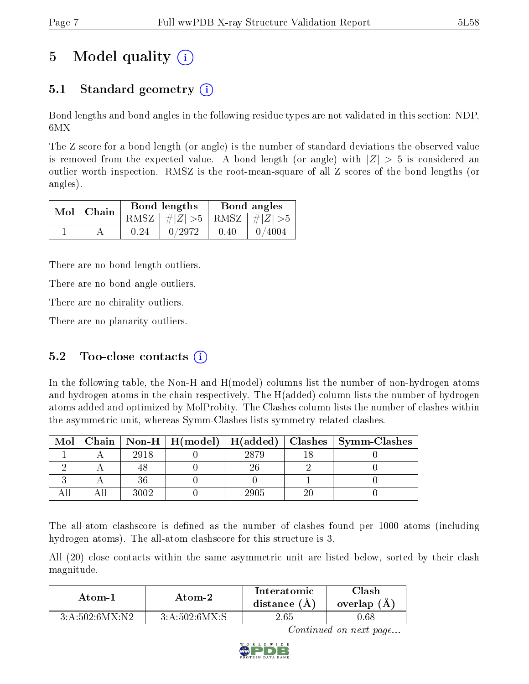# 5 Model quality  $(i)$

### 5.1 Standard geometry  $\overline{()}$

Bond lengths and bond angles in the following residue types are not validated in this section: NDP, 6MX

The Z score for a bond length (or angle) is the number of standard deviations the observed value is removed from the expected value. A bond length (or angle) with  $|Z| > 5$  is considered an outlier worth inspection. RMSZ is the root-mean-square of all Z scores of the bond lengths (or angles).

|               |  |                                 | Bond lengths |      | Bond angles |
|---------------|--|---------------------------------|--------------|------|-------------|
| $Mol$   Chain |  | RMSZ $ #Z  > 5$ RMSZ $ #Z  > 5$ |              |      |             |
|               |  | 0.24                            | 0/2972       | 0.40 | 0/4004      |

There are no bond length outliers.

There are no bond angle outliers.

There are no chirality outliers.

There are no planarity outliers.

### 5.2 Too-close contacts  $(i)$

In the following table, the Non-H and H(model) columns list the number of non-hydrogen atoms and hydrogen atoms in the chain respectively. The H(added) column lists the number of hydrogen atoms added and optimized by MolProbity. The Clashes column lists the number of clashes within the asymmetric unit, whereas Symm-Clashes lists symmetry related clashes.

| Mol |      |      | Chain   Non-H   H(model)   H(added)   Clashes   Symm-Clashes |
|-----|------|------|--------------------------------------------------------------|
|     | 2918 | 2879 |                                                              |
|     |      |      |                                                              |
|     |      |      |                                                              |
|     | 3009 | 2905 |                                                              |

The all-atom clashscore is defined as the number of clashes found per 1000 atoms (including hydrogen atoms). The all-atom clashscore for this structure is 3.

All (20) close contacts within the same asymmetric unit are listed below, sorted by their clash magnitude.

| Atom-1         | Atom-2          | Interatomic<br>distance $(A)$ | 7lash<br>overlap (A |
|----------------|-----------------|-------------------------------|---------------------|
| 3:A:502:6MX:N2 | 3: A:502:6MX: S | 2.65                          | .).68               |

Continued on next page...

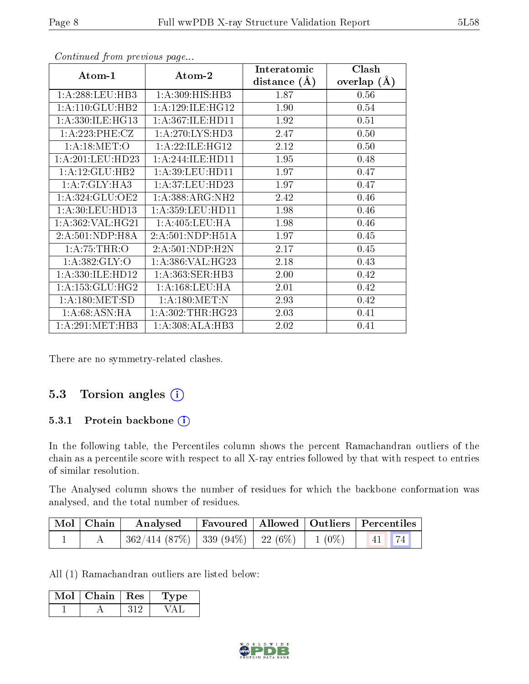| Atom-1               | Atom-2               | Interatomic    | Clash         |
|----------------------|----------------------|----------------|---------------|
|                      |                      | distance $(A)$ | overlap $(A)$ |
| 1: A:288:LEU:HB3     | 1: A:309:HIS:HB3     | 1.87           | 0.56          |
| 1:A:110:GLU:HB2      | 1: A: 129: ILE: HG12 | 1.90           | 0.54          |
| 1: A:330: ILE: HG13  | 1: A:367: ILE: HD11  | 1.92           | 0.51          |
| 1:A:223:PHE:CZ       | 1: A:270: LYS: HD3   | 2.47           | 0.50          |
| 1: A:18: MET:O       | 1:A:22:ILE:HG12      | 2.12           | 0.50          |
| 1:A:201:LEU:HD23     | 1:A:244:ILE:HD11     | 1.95           | 0.48          |
| 1:A:12:GLU:HB2       | 1: A:39: LEU: HD11   | 1.97           | 0.47          |
| 1:A:7:GLY:HA3        | 1: A:37: LEU:HD23    | 1.97           | 0.47          |
| 1:A:324:GLU:OE2      | 1:A:388:ARG:NH2      | 2.42           | 0.46          |
| 1: A:30: LEU: HD13   | 1: A: 359: LEU: HD11 | 1.98           | 0.46          |
| 1: A:362: VAL:HG21   | 1: A:405:LEU:HA      | 1.98           | 0.46          |
| 2:A:501:NDP:H8A      | 2:A:501:NDP:H51A     | 1.97           | 0.45          |
| 1: A:75:THR:O        | 2:A:501:NDP:H2N      | 2.17           | 0.45          |
| 1: A: 382: GLY:O     | 1:A:386:VAL:HG23     | 2.18           | 0.43          |
| 1: A: 330: ILE: HD12 | 1: A:363: SER:HB3    | 2.00           | 0.42          |
| 1: A: 153: GLU: HG2  | 1: A: 168: LEU: HA   | 2.01           | 0.42          |
| 1: A: 180:MET:SD     | 1: A:180:MET:N       | 2.93           | 0.42          |
| 1: A:68: ASN: HA     | 1: A:302:THR:HG23    | 2.03           | 0.41          |
| 1: A:291: MET:HB3    | 1:A:308:ALA:HB3      | 2.02           | 0.41          |

Continued from previous page...

There are no symmetry-related clashes.

### 5.3 Torsion angles (i)

#### 5.3.1 Protein backbone (i)

In the following table, the Percentiles column shows the percent Ramachandran outliers of the chain as a percentile score with respect to all X-ray entries followed by that with respect to entries of similar resolution.

The Analysed column shows the number of residues for which the backbone conformation was analysed, and the total number of residues.

| Mol Chain | Analysed   Favoured   Allowed   Outliers   Percentiles               |  |  |
|-----------|----------------------------------------------------------------------|--|--|
|           | $362/414$ $(87\%)$   339 $(94\%)$   22 $(6\%)$   1 $(0\%)$   41   74 |  |  |

All (1) Ramachandran outliers are listed below:

| Mol | $\overline{\text{Chain}}$   Res | рe |  |
|-----|---------------------------------|----|--|
|     |                                 |    |  |

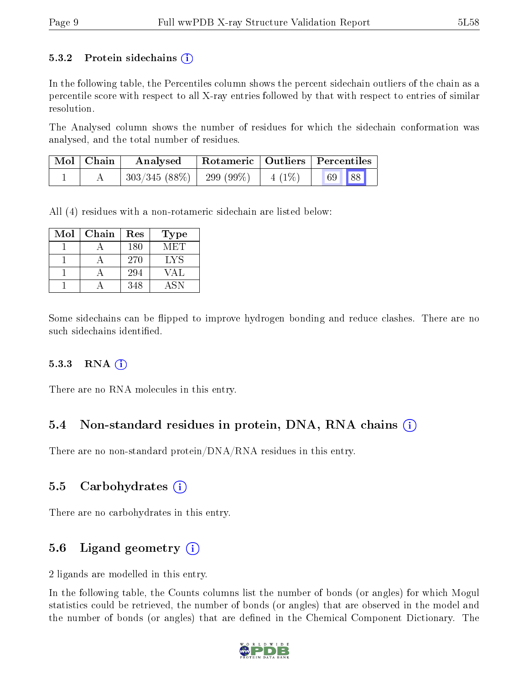#### 5.3.2 Protein sidechains  $(i)$

In the following table, the Percentiles column shows the percent sidechain outliers of the chain as a percentile score with respect to all X-ray entries followed by that with respect to entries of similar resolution.

The Analysed column shows the number of residues for which the sidechain conformation was analysed, and the total number of residues.

| $\mid$ Mol $\mid$ Chain | Analysed     | Rotameric   Outliers   Percentiles |  |       |  |
|-------------------------|--------------|------------------------------------|--|-------|--|
|                         | 303/345(88%) | 299 (99\%)   4 (1\%)               |  | 69 88 |  |

All (4) residues with a non-rotameric sidechain are listed below:

| Mol | Chain | Res | Type       |
|-----|-------|-----|------------|
|     |       | 180 | MET        |
|     |       | 270 | LYS        |
|     |       | 294 | VAL        |
|     |       | 348 | <b>ASN</b> |

Some sidechains can be flipped to improve hydrogen bonding and reduce clashes. There are no such sidechains identified.

#### $5.3.3$  RNA  $(i)$

There are no RNA molecules in this entry.

### 5.4 Non-standard residues in protein, DNA, RNA chains  $(i)$

There are no non-standard protein/DNA/RNA residues in this entry.

### 5.5 Carbohydrates  $(i)$

There are no carbohydrates in this entry.

### 5.6 Ligand geometry  $(i)$

2 ligands are modelled in this entry.

In the following table, the Counts columns list the number of bonds (or angles) for which Mogul statistics could be retrieved, the number of bonds (or angles) that are observed in the model and the number of bonds (or angles) that are defined in the Chemical Component Dictionary. The

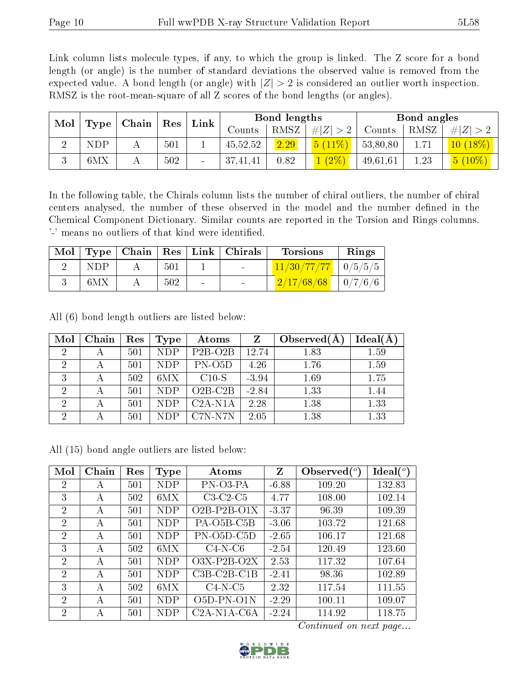Link column lists molecule types, if any, to which the group is linked. The Z score for a bond length (or angle) is the number of standard deviations the observed value is removed from the expected value. A bond length (or angle) with  $|Z| > 2$  is considered an outlier worth inspection. RMSZ is the root-mean-square of all Z scores of the bond lengths (or angles).

| Mol | Type | Chain ' | Res | Link |          | Bond lengths |         |          | Bond angles |            |
|-----|------|---------|-----|------|----------|--------------|---------|----------|-------------|------------|
|     |      |         |     |      | Counts   | <b>RMSZ</b>  | $\# Z $ | Counts   | RMSZ        | Z          |
|     | NDP  |         | 501 |      | 45,52,52 | 2.29         | $11\%$  | 53,80,80 | 1.71        | $10(18\%)$ |
|     | 6MX  |         | 502 |      | 37,41,41 | 0.82         | $(2\%)$ | 49,61,61 | 1.23        | $5(10\%)$  |

In the following table, the Chirals column lists the number of chiral outliers, the number of chiral centers analysed, the number of these observed in the model and the number defined in the Chemical Component Dictionary. Similar counts are reported in the Torsion and Rings columns. '-' means no outliers of that kind were identified.

| Mol |     |     | Type   Chain   Res   Link   Chirals | Torsions                  | Rings          |
|-----|-----|-----|-------------------------------------|---------------------------|----------------|
|     | NDP | 501 | <b>Contract Contract</b>            | $11/30/77/77$   $0/5/5/5$ |                |
|     | 6MX | 502 |                                     | 2/17/68/68                | $\mid 0/7/6/6$ |

All (6) bond length outliers are listed below:

| Mol            | Chain | Res | Type       | Atoms     | Z       | Observed $(A)$ | Ideal(A) |
|----------------|-------|-----|------------|-----------|---------|----------------|----------|
| $\overline{2}$ |       | 501 | <b>NDP</b> | $P2B-O2B$ | 12.74   | 1.83           | 1.59     |
| $\overline{2}$ |       | 501 | <b>NDP</b> | $PN$ -O5D | 4.26    | 1.76           | 1.59     |
| 3              |       | 502 | 6MX        | $C10-S$   | $-3.94$ | 1.69           | 1.75     |
| $\overline{2}$ |       | 501 | <b>NDP</b> | $O2B-C2B$ | $-2.84$ | 1.33           | 1.44     |
| $\overline{2}$ |       | 501 | <b>NDP</b> | $C2A-N1A$ | 2.28    | 1.38           | 1.33     |
| $\overline{2}$ |       | 501 | <b>NDP</b> | C7N-N7N   | 2.05    | 1.38           | 1.33     |

All (15) bond angle outliers are listed below:

| Mol            | Chain | Res | Type       | Atoms                                | $Z_{\rm}$ | Observed $(^\circ)$ | $\text{Ideal}({}^o)$ |
|----------------|-------|-----|------------|--------------------------------------|-----------|---------------------|----------------------|
| $\overline{2}$ | А     | 501 | NDP        | PN-03-PA                             | $-6.88$   | 109.20              | 132.83               |
| 3              | А     | 502 | 6MX        | $C3-C2-C5$                           | 4.77      | 108.00              | 102.14               |
| $\overline{2}$ | А     | 501 | NDP        | $O2B-P2B-O1X$                        | $-3.37$   | 96.39               | 109.39               |
| $\overline{2}$ | А     | 501 | <b>NDP</b> | PA-O <sub>5</sub> B-C <sub>5</sub> B | $-3.06$   | 103.72              | 121.68               |
| $\overline{2}$ | А     | 501 | <b>NDP</b> | $PN$ -O5D-C5D                        | $-2.65$   | 106.17              | 121.68               |
| 3              | A     | 502 | 6MX        | $C4-N-C6$                            | $-2.54$   | 120.49              | 123.60               |
| $\mathcal{P}$  | A     | 501 | NDP        | $O3X-P2B-O2X$                        | 2.53      | 117.32              | 107.64               |
| $\mathcal{P}$  | А     | 501 | NDP        | $C3B-C2B-C1B$                        | $-2.41$   | 98.36               | 102.89               |
| 3              | А     | 502 | 6MX        | $C4-N-C5$                            | 2.32      | 117.54              | 111.55               |
| $\mathcal{D}$  | А     | 501 | NDP        | O5D-PN-O1N                           | $-2.29$   | 100.11              | 109.07               |
| $\overline{2}$ | А     | 501 | NDP        | $C2A-N1A-C6A$                        | $-2.24$   | 114.92              | 118.75               |

Continued on next page...

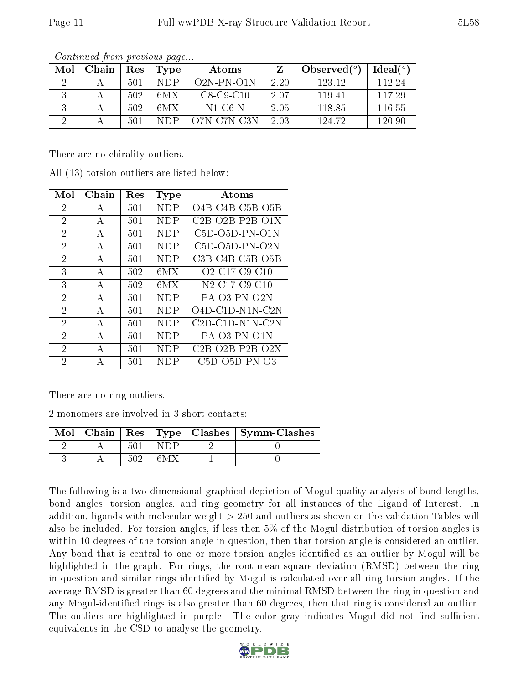|--|

| Mol | Chain | Res | Type | Atoms            |      | Observed $(°)$ | Ideal(°) |
|-----|-------|-----|------|------------------|------|----------------|----------|
|     |       | 501 | NDP  | $O2N$ -PN- $O1N$ | 2.20 | 123.12         | 112.24   |
|     |       | 502 | 6MX  | $C8-C9-C10$      | 207  | 119 41         | 117.29   |
|     |       | 502 | 6MX  | N1-C6-N          | 2.05 | 118.85         | 116.55   |
|     |       | 501 | NDP  | O7N-C7N-C3N      | 2.03 | 124.72         | 120.90   |

Continued from previous page...

There are no chirality outliers.

All (13) torsion outliers are listed below:

| Mol            | Chain | Res | <b>Type</b> | Atoms                                                            |
|----------------|-------|-----|-------------|------------------------------------------------------------------|
| $\overline{2}$ | A     | 501 | <b>NDP</b>  | O4B-C4B-C5B-O5B                                                  |
| $\overline{2}$ | А     | 501 | NDP         | $C2B-O2B-P2B-O1X$                                                |
| $\overline{2}$ | А     | 501 | NDP         | C5D-O5D-PN-O1N                                                   |
| $\overline{2}$ | А     | 501 | NDP         | $C5D-O5D-PN-O2N$                                                 |
| $\overline{2}$ | А     | 501 | NDP         | $C3B-C4B-C5B-O5B$                                                |
| 3              | А     | 502 | 6MX         | O <sub>2</sub> -C <sub>17</sub> -C <sub>9</sub> -C <sub>10</sub> |
| 3              | A     | 502 | 6MX         | N <sub>2</sub> -C <sub>17</sub> -C <sub>9</sub> -C <sub>10</sub> |
| 2              | A     | 501 | <b>NDP</b>  | $PA-O3-PN-O2N$                                                   |
| $\overline{2}$ | А     | 501 | NDP         | O4D-C1D-N1N-C2N                                                  |
| $\overline{2}$ | A     | 501 | NDP         | $C2D-C1D-N1N-C2N$                                                |
| $\overline{2}$ | A     | 501 | NDP         | $PA-O3-PN-O1N$                                                   |
| $\mathfrak{D}$ | А     | 501 | NDP         | $C2B-O2B-P2B-O2X$                                                |
| 2              | А     | 501 | NDP         | $C5D-O5D-PN-O3$                                                  |

There are no ring outliers.

2 monomers are involved in 3 short contacts:

| Mol | Chain |  | Res   Type   Clashes   Symm-Clashes |  |
|-----|-------|--|-------------------------------------|--|
|     |       |  |                                     |  |
|     |       |  |                                     |  |

The following is a two-dimensional graphical depiction of Mogul quality analysis of bond lengths, bond angles, torsion angles, and ring geometry for all instances of the Ligand of Interest. In addition, ligands with molecular weight > 250 and outliers as shown on the validation Tables will also be included. For torsion angles, if less then 5% of the Mogul distribution of torsion angles is within 10 degrees of the torsion angle in question, then that torsion angle is considered an outlier. Any bond that is central to one or more torsion angles identified as an outlier by Mogul will be highlighted in the graph. For rings, the root-mean-square deviation (RMSD) between the ring in question and similar rings identified by Mogul is calculated over all ring torsion angles. If the average RMSD is greater than 60 degrees and the minimal RMSD between the ring in question and any Mogul-identified rings is also greater than 60 degrees, then that ring is considered an outlier. The outliers are highlighted in purple. The color gray indicates Mogul did not find sufficient equivalents in the CSD to analyse the geometry.

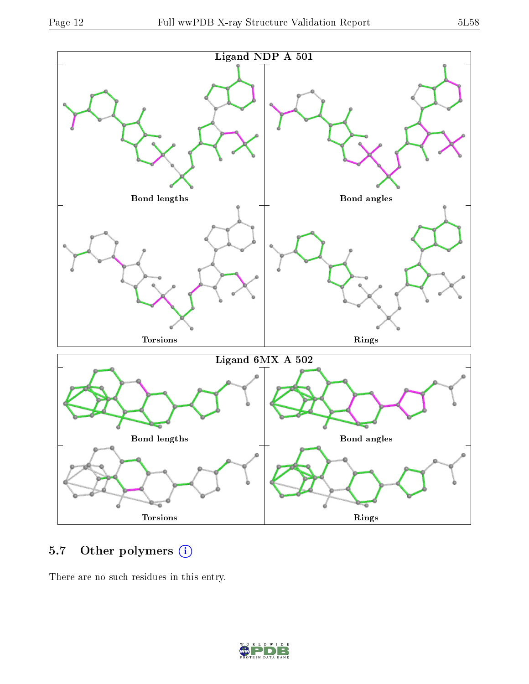

### 5.7 [O](https://www.wwpdb.org/validation/2017/XrayValidationReportHelp#nonstandard_residues_and_ligands)ther polymers (i)

There are no such residues in this entry.

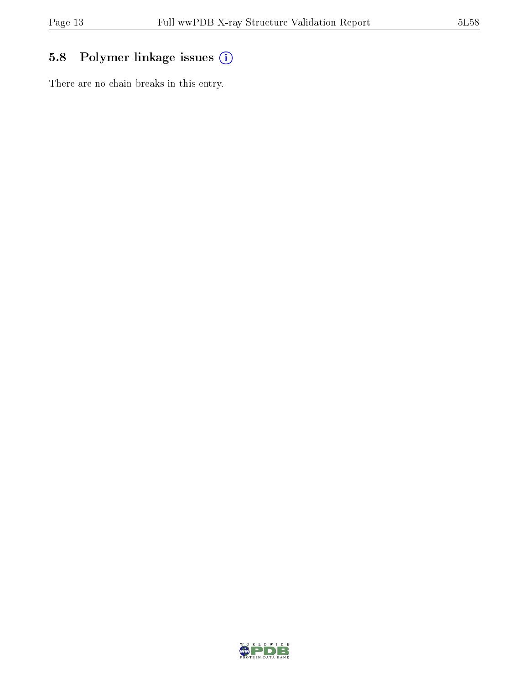# 5.8 Polymer linkage issues (i)

There are no chain breaks in this entry.

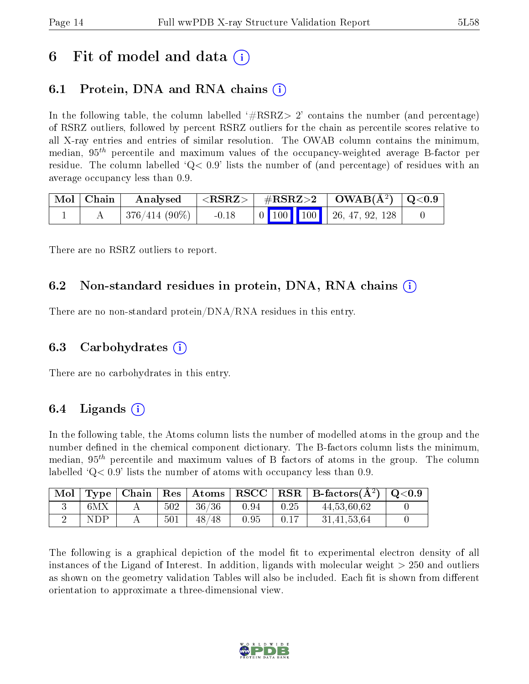# 6 Fit of model and data  $\left( \cdot \right)$

# 6.1 Protein, DNA and RNA chains (i)

In the following table, the column labelled  $#RSRZ>2'$  contains the number (and percentage) of RSRZ outliers, followed by percent RSRZ outliers for the chain as percentile scores relative to all X-ray entries and entries of similar resolution. The OWAB column contains the minimum, median,  $95<sup>th</sup>$  percentile and maximum values of the occupancy-weighted average B-factor per residue. The column labelled  $Q < 0.9$  lists the number of (and percentage) of residues with an average occupancy less than 0.9.

| Mol   Chain | Analysed                  |         |  |  | $ \langle \mathrm{RSRZ}\rangle $ #RSRZ>2 $ \mathrm{OWAB}(\mathrm{A}^2) $ Q<0.9  |  |
|-------------|---------------------------|---------|--|--|---------------------------------------------------------------------------------|--|
|             | $\pm$ 376/414 (90%) $\pm$ | $-0.18$ |  |  | $\begin{array}{ c c c c c c c c } \hline \end{array}$ 0 100 100 26, 47, 92, 128 |  |

There are no RSRZ outliers to report.

### 6.2 Non-standard residues in protein, DNA, RNA chains  $(i)$

There are no non-standard protein/DNA/RNA residues in this entry.

### 6.3 Carbohydrates (i)

There are no carbohydrates in this entry.

### 6.4 Ligands  $(i)$

In the following table, the Atoms column lists the number of modelled atoms in the group and the number defined in the chemical component dictionary. The B-factors column lists the minimum, median,  $95<sup>th</sup>$  percentile and maximum values of B factors of atoms in the group. The column labelled  $Q< 0.9$ ' lists the number of atoms with occupancy less than 0.9.

| Mol |     |     |              |      |      | Type   Chain   Res   Atoms   RSCC   RSR   B-factors $(\AA^2)$   Q<0.9 |  |
|-----|-----|-----|--------------|------|------|-----------------------------------------------------------------------|--|
|     | 6MX | 502 | 36/36        | 0.94 | 0.25 | 44,53,60,62                                                           |  |
|     | NDP | 501 | -48 /<br>′48 | 0.95 | 0.17 | 31,41,53,64                                                           |  |

The following is a graphical depiction of the model fit to experimental electron density of all instances of the Ligand of Interest. In addition, ligands with molecular weight  $> 250$  and outliers as shown on the geometry validation Tables will also be included. Each fit is shown from different orientation to approximate a three-dimensional view.

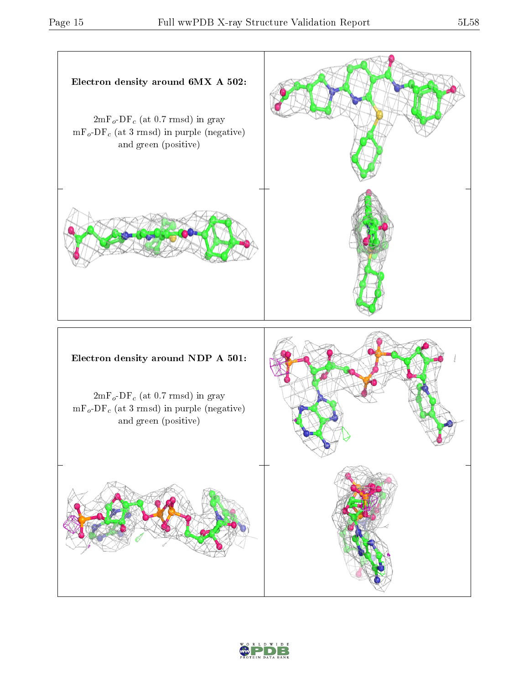